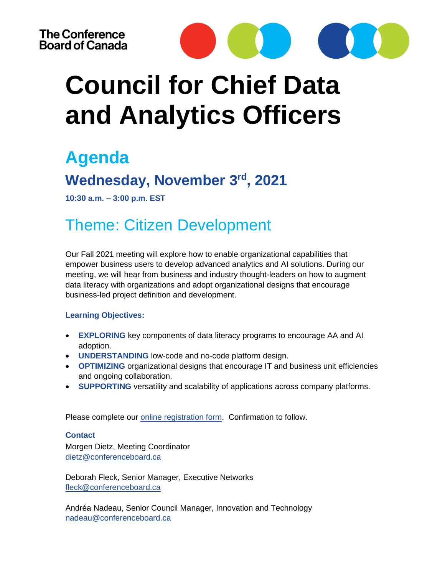

# **Council for Chief Data and Analytics Officers**

### **Agenda**

### **Wednesday, November 3rd, 2021**

**10:30 a.m. – 3:00 p.m. EST**

### Theme: Citizen Development

Our Fall 2021 meeting will explore how to enable organizational capabilities that empower business users to develop advanced analytics and AI solutions. During our meeting, we will hear from business and industry thought-leaders on how to augment data literacy with organizations and adopt organizational designs that encourage business-led project definition and development.

#### **Learning Objectives:**

- **EXPLORING** key components of data literacy programs to encourage AA and AI adoption.
- **UNDERSTANDING** low-code and no-code platform design.
- **OPTIMIZING** organizational designs that encourage IT and business unit efficiencies and ongoing collaboration.
- **SUPPORTING** versatility and scalability of applications across company platforms.

Please complete our [online registration form.](https://forms.office.com/Pages/ResponsePage.aspx?id=E_qXxo1oNUGjga1BIGbtek8Uv_m9ULdGqbTzybfJ1KJUOE5PTllEVEYzTVlFTEs5NkRNTzhKWTJFMC4u) Confirmation to follow.

#### **Contact**

Morgen Dietz, Meeting Coordinator [dietz@conferenceboard.ca](mailto:dietz@conferenceboard.ca)

Deborah Fleck, Senior Manager, Executive Networks [fleck@conferenceboard.ca](mailto:fleck@conferenceboard.ca)

Andréa Nadeau, Senior Council Manager, Innovation and Technology nadeau@conferenceboard.ca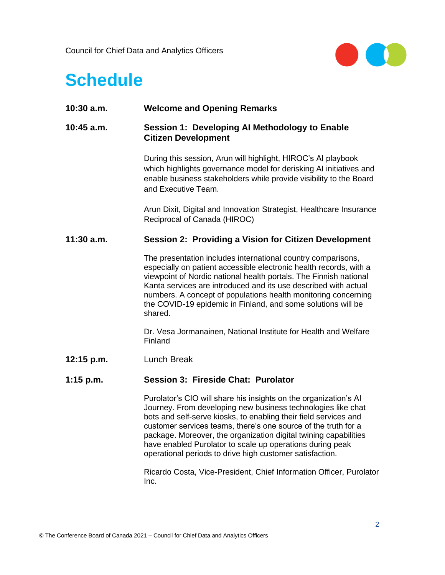Council for Chief Data and Analytics Officers



## **Schedule**

| $10:30$ a.m. | <b>Welcome and Opening Remarks</b>                                                                                                                                                                                                                                                                                                                                                                                                                                  |
|--------------|---------------------------------------------------------------------------------------------------------------------------------------------------------------------------------------------------------------------------------------------------------------------------------------------------------------------------------------------------------------------------------------------------------------------------------------------------------------------|
| $10:45$ a.m. | Session 1: Developing Al Methodology to Enable<br><b>Citizen Development</b>                                                                                                                                                                                                                                                                                                                                                                                        |
|              | During this session, Arun will highlight, HIROC's AI playbook<br>which highlights governance model for derisking AI initiatives and<br>enable business stakeholders while provide visibility to the Board<br>and Executive Team.                                                                                                                                                                                                                                    |
|              | Arun Dixit, Digital and Innovation Strategist, Healthcare Insurance<br>Reciprocal of Canada (HIROC)                                                                                                                                                                                                                                                                                                                                                                 |
| $11:30$ a.m. | <b>Session 2: Providing a Vision for Citizen Development</b>                                                                                                                                                                                                                                                                                                                                                                                                        |
|              | The presentation includes international country comparisons,<br>especially on patient accessible electronic health records, with a<br>viewpoint of Nordic national health portals. The Finnish national<br>Kanta services are introduced and its use described with actual<br>numbers. A concept of populations health monitoring concerning<br>the COVID-19 epidemic in Finland, and some solutions will be<br>shared.                                             |
|              | Dr. Vesa Jormanainen, National Institute for Health and Welfare<br>Finland                                                                                                                                                                                                                                                                                                                                                                                          |
| $12:15$ p.m. | Lunch Break                                                                                                                                                                                                                                                                                                                                                                                                                                                         |
| 1:15 $p.m.$  | <b>Session 3: Fireside Chat: Purolator</b>                                                                                                                                                                                                                                                                                                                                                                                                                          |
|              | Purolator's CIO will share his insights on the organization's AI<br>Journey. From developing new business technologies like chat<br>bots and self-serve kiosks, to enabling their field services and<br>customer services teams, there's one source of the truth for a<br>package. Moreover, the organization digital twining capabilities<br>have enabled Purolator to scale up operations during peak<br>operational periods to drive high customer satisfaction. |
|              | Ricardo Costa, Vice-President, Chief Information Officer, Purolator<br>Inc.                                                                                                                                                                                                                                                                                                                                                                                         |